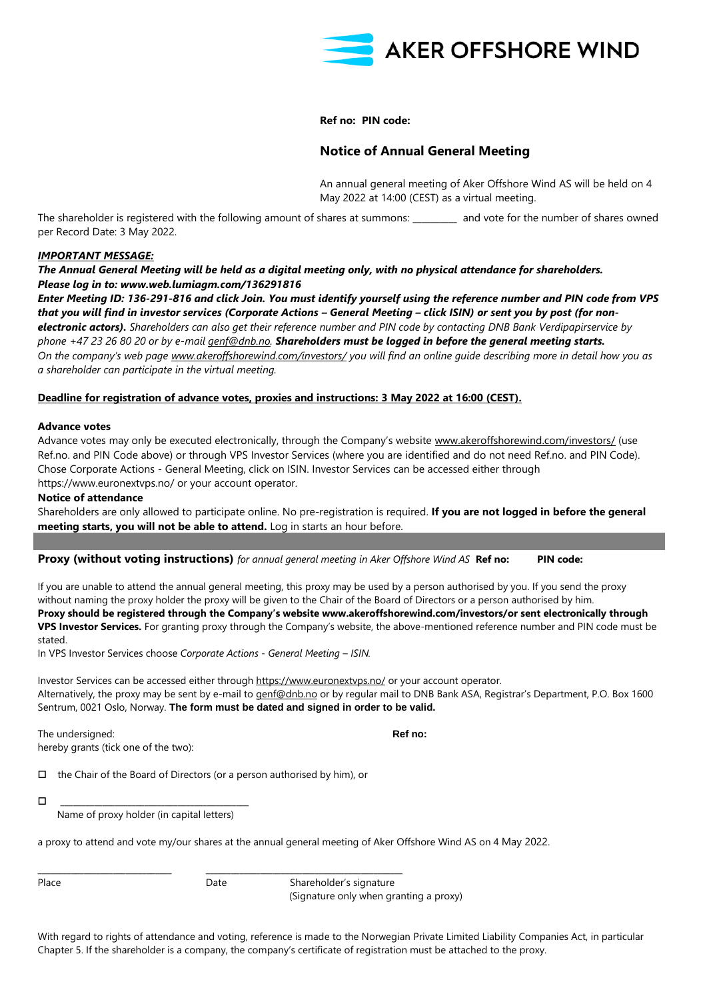

**Ref no: PIN code:** 

# **Notice of Annual General Meeting**

An annual general meeting of Aker Offshore Wind AS will be held on 4 May 2022 at 14:00 (CEST) as a virtual meeting.

The shareholder is registered with the following amount of shares at summons: \_\_\_\_\_\_\_\_\_\_ and vote for the number of shares owned per Record Date: 3 May 2022.

### *IMPORTANT MESSAGE:*

# *The Annual General Meeting will be held as a digital meeting only, with no physical attendance for shareholders. Please log in to: www.web.lumiagm.com/136291816*

*Enter Meeting ID: 136-291-816 and click Join. You must identify yourself using the reference number and PIN code from VPS*  that you will find in investor services (Corporate Actions – General Meeting – click ISIN) or sent you by post (for non*electronic actors). Shareholders can also get their reference number and PIN code by contacting DNB Bank Verdipapirservice by phone +47 23 26 80 20 or by e-mail [genf@dnb.no.](mailto:genf@dnb.no) Shareholders must be logged in before the general meeting starts. On the company's web page [www.akeroffshorewind.com/investors/](http://www.akeroffshorewind.com/investors/) you will find an online guide describing more in detail how you as a shareholder can participate in the virtual meeting.*

## **Deadline for registration of advance votes, proxies and instructions: 3 May 2022 at 16:00 (CEST).**

#### **Advance votes**

Advance votes may only be executed electronically, through the Company's website [www.akeroffshorewind.com/investors/](http://www.akeroffshorewind.com/investors/) (use Ref.no. and PIN Code above) or through VPS Investor Services (where you are identified and do not need Ref.no. and PIN Code). Chose Corporate Actions - General Meeting, click on ISIN. Investor Services can be accessed either through https://www.euronextvps.no/ or your account operator.

### **Notice of attendance**

Shareholders are only allowed to participate online. No pre-registration is required. **If you are not logged in before the general meeting starts, you will not be able to attend.** Log in starts an hour before.

#### **Proxy (without voting instructions)** *for annual general meeting in Aker Offshore Wind AS* **Ref no: PIN code:**

If you are unable to attend the annual general meeting, this proxy may be used by a person authorised by you. If you send the proxy without naming the proxy holder the proxy will be given to the Chair of the Board of Directors or a person authorised by him. **Proxy should be registered through the Company's website www.akeroffshorewind.com/investors/or sent electronically through VPS Investor Services.** For granting proxy through the Company's website, the above-mentioned reference number and PIN code must be stated.

In VPS Investor Services choose *Corporate Actions - General Meeting – ISIN.*

Investor Services can be accessed either through<https://www.euronextvps.no/> or your account operator. Alternatively, the proxy may be sent by e-mail to [genf@dnb.no](mailto:genf@dnb.no) or by regular mail to DNB Bank ASA, Registrar's Department, P.O. Box 1600 Sentrum, 0021 Oslo, Norway. **The form must be dated and signed in order to be valid.**

The undersigned: **Ref no: Ref no: Ref no: Ref no: Ref no: Ref no: Ref no: Ref no: Ref no: Ref no: Ref no: Ref no: Ref no: Ref no: Ref no: Ref no: Ref no: Ref no: Ref no: Ref no: Ref** hereby grants (tick one of the two):

 $\Box$  the Chair of the Board of Directors (or a person authorised by him), or

\_\_\_\_\_\_\_\_\_\_\_\_\_\_\_\_\_\_\_\_\_\_\_\_\_\_\_\_\_\_\_\_\_\_\_\_\_\_\_\_\_\_\_\_\_

Name of proxy holder (in capital letters)

a proxy to attend and vote my/our shares at the annual general meeting of Aker Offshore Wind AS on 4 May 2022.

\_\_\_\_\_\_\_\_\_\_\_\_\_\_\_\_\_\_\_\_\_\_\_\_\_\_\_\_\_\_\_\_ \_\_\_\_\_\_\_\_\_\_\_\_\_\_\_\_\_\_\_\_\_\_\_\_\_\_\_\_\_\_\_\_\_\_\_\_\_\_\_\_\_\_\_\_\_\_\_

Place **Date** Date Shareholder's signature (Signature only when granting a proxy)

With regard to rights of attendance and voting, reference is made to the Norwegian Private Limited Liability Companies Act, in particular Chapter 5. If the shareholder is a company, the company's certificate of registration must be attached to the proxy.